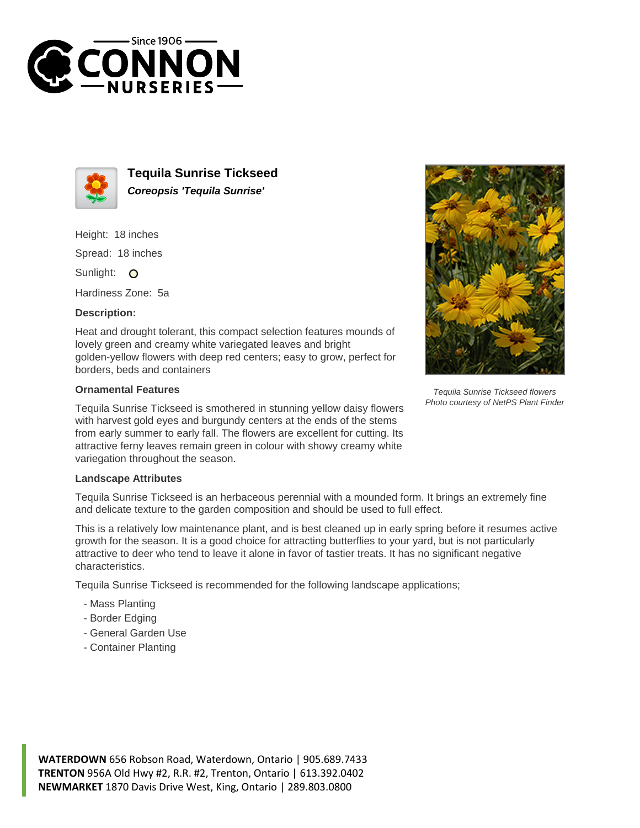



**Tequila Sunrise Tickseed Coreopsis 'Tequila Sunrise'**

Height: 18 inches Spread: 18 inches

Sunlight: O

Hardiness Zone: 5a

## **Description:**

Heat and drought tolerant, this compact selection features mounds of lovely green and creamy white variegated leaves and bright golden-yellow flowers with deep red centers; easy to grow, perfect for borders, beds and containers

## **Ornamental Features**

Tequila Sunrise Tickseed is smothered in stunning yellow daisy flowers with harvest gold eyes and burgundy centers at the ends of the stems from early summer to early fall. The flowers are excellent for cutting. Its attractive ferny leaves remain green in colour with showy creamy white variegation throughout the season.



Tequila Sunrise Tickseed flowers Photo courtesy of NetPS Plant Finder

## **Landscape Attributes**

Tequila Sunrise Tickseed is an herbaceous perennial with a mounded form. It brings an extremely fine and delicate texture to the garden composition and should be used to full effect.

This is a relatively low maintenance plant, and is best cleaned up in early spring before it resumes active growth for the season. It is a good choice for attracting butterflies to your yard, but is not particularly attractive to deer who tend to leave it alone in favor of tastier treats. It has no significant negative characteristics.

Tequila Sunrise Tickseed is recommended for the following landscape applications;

- Mass Planting
- Border Edging
- General Garden Use
- Container Planting

**WATERDOWN** 656 Robson Road, Waterdown, Ontario | 905.689.7433 **TRENTON** 956A Old Hwy #2, R.R. #2, Trenton, Ontario | 613.392.0402 **NEWMARKET** 1870 Davis Drive West, King, Ontario | 289.803.0800